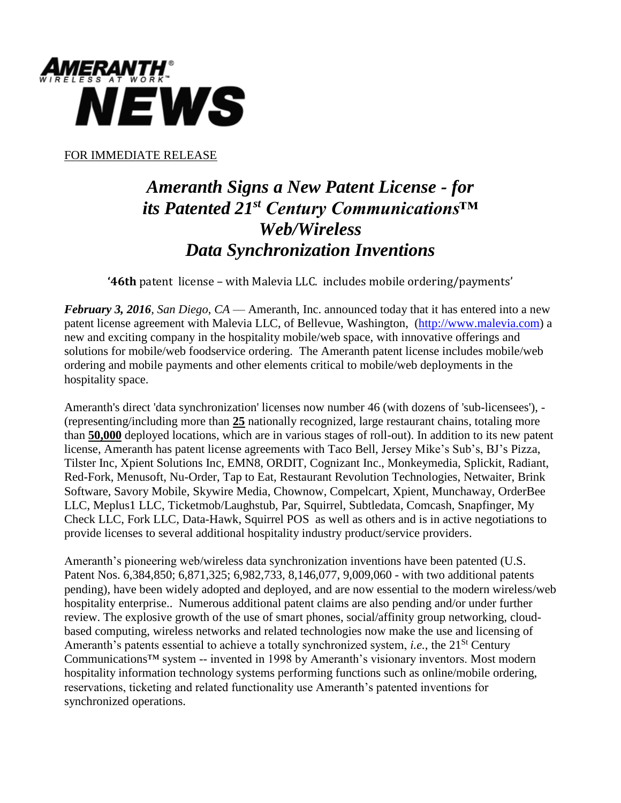

FOR IMMEDIATE RELEASE

## *Ameranth Signs a New Patent License - for its Patented 21st Century Communications™ Web/Wireless Data Synchronization Inventions*

**'46th** patent license – with Malevia LLC. includes mobile ordering/payments'

*February 3, 2016, San Diego*, *CA* — Ameranth, Inc. announced today that it has entered into a new patent license agreement with Malevia LLC, of Bellevue, Washington, [\(http://www.malevia.com\)](http://www.malevia.com/) a new and exciting company in the hospitality mobile/web space, with innovative offerings and solutions for mobile/web foodservice ordering. The Ameranth patent license includes mobile/web ordering and mobile payments and other elements critical to mobile/web deployments in the hospitality space.

Ameranth's direct 'data synchronization' licenses now number 46 (with dozens of 'sub-licensees'), - (representing/including more than **25** nationally recognized, large restaurant chains, totaling more than **50,000** deployed locations, which are in various stages of roll-out). In addition to its new patent license, Ameranth has patent license agreements with Taco Bell, Jersey Mike's Sub's, BJ's Pizza, Tilster Inc, Xpient Solutions Inc, EMN8, ORDIT, Cognizant Inc., Monkeymedia, Splickit, Radiant, Red-Fork, Menusoft, Nu-Order, Tap to Eat, Restaurant Revolution Technologies, Netwaiter, Brink Software, Savory Mobile, Skywire Media, Chownow, Compelcart, Xpient, Munchaway, OrderBee LLC, Meplus1 LLC, Ticketmob/Laughstub, Par, Squirrel, Subtledata, Comcash, Snapfinger, My Check LLC, Fork LLC, Data-Hawk, Squirrel POS as well as others and is in active negotiations to provide licenses to several additional hospitality industry product/service providers.

Ameranth's pioneering web/wireless data synchronization inventions have been patented (U.S. Patent Nos. 6,384,850; 6,871,325; 6,982,733, 8,146,077, 9,009,060 - with two additional patents pending), have been widely adopted and deployed, and are now essential to the modern wireless/web hospitality enterprise.. Numerous additional patent claims are also pending and/or under further review. The explosive growth of the use of smart phones, social/affinity group networking, cloudbased computing, wireless networks and related technologies now make the use and licensing of Ameranth's patents essential to achieve a totally synchronized system, *i.e.*, the 21<sup>St</sup> Century Communications™ system -- invented in 1998 by Ameranth's visionary inventors. Most modern hospitality information technology systems performing functions such as online/mobile ordering, reservations, ticketing and related functionality use Ameranth's patented inventions for synchronized operations.